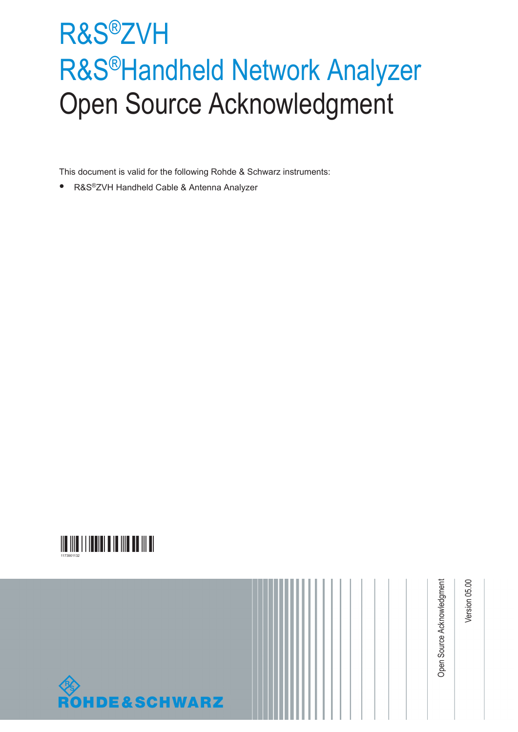# R&S®ZVH R&S®Handheld Network Analyzer Open Source Acknowledgment

This document is valid for the following Rohde & Schwarz instruments:

● R&S<sup>®</sup>ZVH Handheld Cable & Antenna Analyzer



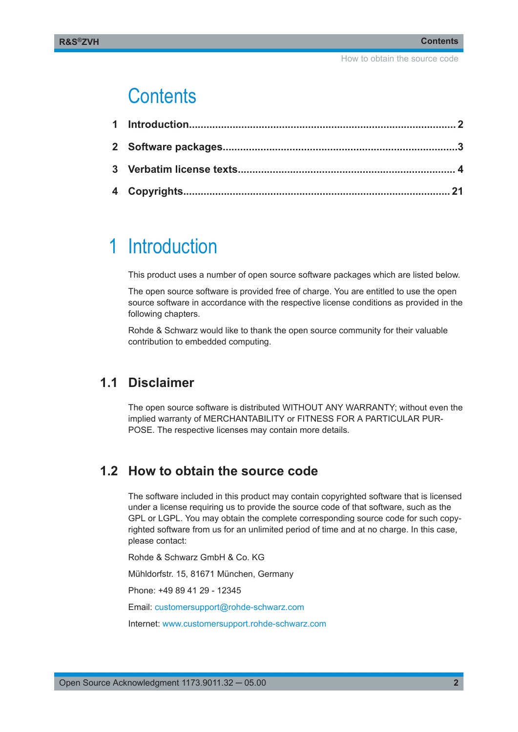## **Contents**

## 1 Introduction

This product uses a number of open source software packages which are listed below.

The open source software is provided free of charge. You are entitled to use the open source software in accordance with the respective license conditions as provided in the following chapters.

Rohde & Schwarz would like to thank the open source community for their valuable contribution to embedded computing.

## **1.1 Disclaimer**

The open source software is distributed WITHOUT ANY WARRANTY; without even the implied warranty of MERCHANTABILITY or FITNESS FOR A PARTICULAR PUR-POSE. The respective licenses may contain more details.

## **1.2 How to obtain the source code**

The software included in this product may contain copyrighted software that is licensed under a license requiring us to provide the source code of that software, such as the GPL or LGPL. You may obtain the complete corresponding source code for such copyrighted software from us for an unlimited period of time and at no charge. In this case, please contact:

Rohde & Schwarz GmbH & Co. KG

Mühldorfstr. 15, 81671 München, Germany

Phone: +49 89 41 29 - 12345

Email: [customersupport@rohde-schwarz.com](mailto:customersupport@rohde-schwarz.com)

Internet: [www.customersupport.rohde-schwarz.com](http://www.customersupport.rohde-schwarz.com)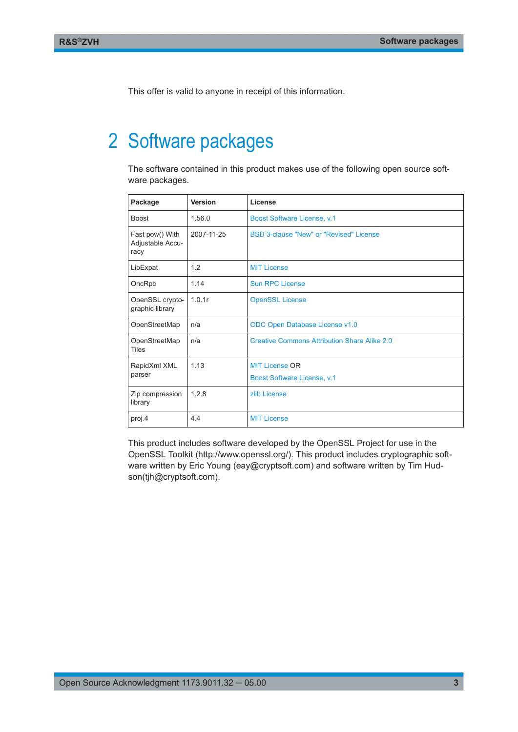<span id="page-2-0"></span>This offer is valid to anyone in receipt of this information.

## 2 Software packages

The software contained in this product makes use of the following open source software packages.

| Package                                     | Version    | License                                             |
|---------------------------------------------|------------|-----------------------------------------------------|
| <b>Boost</b>                                | 1.56.0     | Boost Software License, v.1                         |
| Fast pow() With<br>Adjustable Accu-<br>racy | 2007-11-25 | BSD 3-clause "New" or "Revised" License             |
| LibExpat                                    | 1.2        | <b>MIT License</b>                                  |
| OncRpc                                      | 1.14       | <b>Sun RPC License</b>                              |
| OpenSSL crypto-<br>graphic library          | 1.0.1r     | <b>OpenSSL License</b>                              |
| OpenStreetMap                               | n/a        | ODC Open Database License v1.0                      |
| OpenStreetMap<br><b>Tiles</b>               | n/a        | <b>Creative Commons Attribution Share Alike 2.0</b> |
| RapidXml XML                                | 1.13       | <b>MIT License OR</b>                               |
| parser                                      |            | Boost Software License, v.1                         |
| Zip compression<br>library                  | 1.2.8      | zlib License                                        |
| proj.4                                      | 4.4        | <b>MIT License</b>                                  |

This product includes software developed by the OpenSSL Project for use in the OpenSSL Toolkit (http://www.openssl.org/). This product includes cryptographic software written by Eric Young (eay@cryptsoft.com) and software written by Tim Hudson(tjh@cryptsoft.com).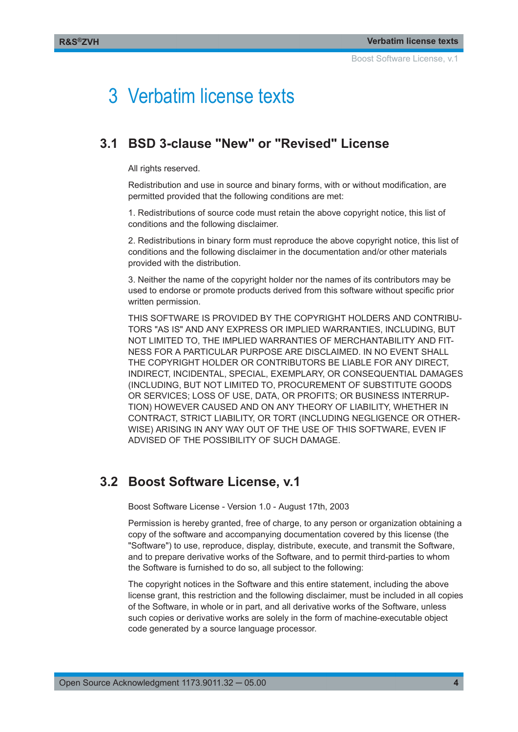## <span id="page-3-0"></span>3 Verbatim license texts

### **3.1 BSD 3-clause "New" or "Revised" License**

All rights reserved.

Redistribution and use in source and binary forms, with or without modification, are permitted provided that the following conditions are met:

1. Redistributions of source code must retain the above copyright notice, this list of conditions and the following disclaimer.

2. Redistributions in binary form must reproduce the above copyright notice, this list of conditions and the following disclaimer in the documentation and/or other materials provided with the distribution.

3. Neither the name of the copyright holder nor the names of its contributors may be used to endorse or promote products derived from this software without specific prior written permission.

THIS SOFTWARE IS PROVIDED BY THE COPYRIGHT HOLDERS AND CONTRIBU-TORS "AS IS" AND ANY EXPRESS OR IMPLIED WARRANTIES, INCLUDING, BUT NOT LIMITED TO, THE IMPLIED WARRANTIES OF MERCHANTABILITY AND FIT-NESS FOR A PARTICULAR PURPOSE ARE DISCLAIMED. IN NO EVENT SHALL THE COPYRIGHT HOLDER OR CONTRIBUTORS BE LIABLE FOR ANY DIRECT, INDIRECT, INCIDENTAL, SPECIAL, EXEMPLARY, OR CONSEQUENTIAL DAMAGES (INCLUDING, BUT NOT LIMITED TO, PROCUREMENT OF SUBSTITUTE GOODS OR SERVICES; LOSS OF USE, DATA, OR PROFITS; OR BUSINESS INTERRUP-TION) HOWEVER CAUSED AND ON ANY THEORY OF LIABILITY, WHETHER IN CONTRACT, STRICT LIABILITY, OR TORT (INCLUDING NEGLIGENCE OR OTHER-WISE) ARISING IN ANY WAY OUT OF THE USE OF THIS SOFTWARE, EVEN IF ADVISED OF THE POSSIBILITY OF SUCH DAMAGE.

### **3.2 Boost Software License, v.1**

Boost Software License - Version 1.0 - August 17th, 2003

Permission is hereby granted, free of charge, to any person or organization obtaining a copy of the software and accompanying documentation covered by this license (the "Software") to use, reproduce, display, distribute, execute, and transmit the Software, and to prepare derivative works of the Software, and to permit third-parties to whom the Software is furnished to do so, all subject to the following:

The copyright notices in the Software and this entire statement, including the above license grant, this restriction and the following disclaimer, must be included in all copies of the Software, in whole or in part, and all derivative works of the Software, unless such copies or derivative works are solely in the form of machine-executable object code generated by a source language processor.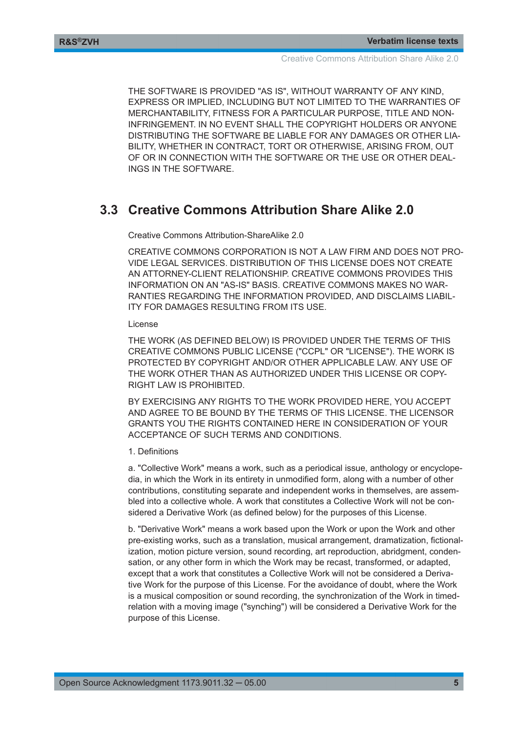<span id="page-4-0"></span>THE SOFTWARE IS PROVIDED "AS IS", WITHOUT WARRANTY OF ANY KIND, EXPRESS OR IMPLIED, INCLUDING BUT NOT LIMITED TO THE WARRANTIES OF MERCHANTABILITY, FITNESS FOR A PARTICULAR PURPOSE, TITLE AND NON-INFRINGEMENT. IN NO EVENT SHALL THE COPYRIGHT HOLDERS OR ANYONE DISTRIBUTING THE SOFTWARE BE LIABLE FOR ANY DAMAGES OR OTHER LIA-BILITY, WHETHER IN CONTRACT, TORT OR OTHERWISE, ARISING FROM, OUT OF OR IN CONNECTION WITH THE SOFTWARE OR THE USE OR OTHER DEAL-INGS IN THE SOFTWARE.

### **3.3 Creative Commons Attribution Share Alike 2.0**

Creative Commons Attribution-ShareAlike 2.0

CREATIVE COMMONS CORPORATION IS NOT A LAW FIRM AND DOES NOT PRO-VIDE LEGAL SERVICES. DISTRIBUTION OF THIS LICENSE DOES NOT CREATE AN ATTORNEY-CLIENT RELATIONSHIP. CREATIVE COMMONS PROVIDES THIS INFORMATION ON AN "AS-IS" BASIS. CREATIVE COMMONS MAKES NO WAR-RANTIES REGARDING THE INFORMATION PROVIDED, AND DISCLAIMS LIABIL-ITY FOR DAMAGES RESULTING FROM ITS USE.

#### License

THE WORK (AS DEFINED BELOW) IS PROVIDED UNDER THE TERMS OF THIS CREATIVE COMMONS PUBLIC LICENSE ("CCPL" OR "LICENSE"). THE WORK IS PROTECTED BY COPYRIGHT AND/OR OTHER APPLICABLE LAW. ANY USE OF THE WORK OTHER THAN AS AUTHORIZED UNDER THIS LICENSE OR COPY-RIGHT LAW IS PROHIBITED.

BY EXERCISING ANY RIGHTS TO THE WORK PROVIDED HERE, YOU ACCEPT AND AGREE TO BE BOUND BY THE TERMS OF THIS LICENSE. THE LICENSOR GRANTS YOU THE RIGHTS CONTAINED HERE IN CONSIDERATION OF YOUR ACCEPTANCE OF SUCH TERMS AND CONDITIONS.

#### 1. Definitions

a. "Collective Work" means a work, such as a periodical issue, anthology or encyclopedia, in which the Work in its entirety in unmodified form, along with a number of other contributions, constituting separate and independent works in themselves, are assembled into a collective whole. A work that constitutes a Collective Work will not be considered a Derivative Work (as defined below) for the purposes of this License.

b. "Derivative Work" means a work based upon the Work or upon the Work and other pre-existing works, such as a translation, musical arrangement, dramatization, fictionalization, motion picture version, sound recording, art reproduction, abridgment, condensation, or any other form in which the Work may be recast, transformed, or adapted, except that a work that constitutes a Collective Work will not be considered a Derivative Work for the purpose of this License. For the avoidance of doubt, where the Work is a musical composition or sound recording, the synchronization of the Work in timedrelation with a moving image ("synching") will be considered a Derivative Work for the purpose of this License.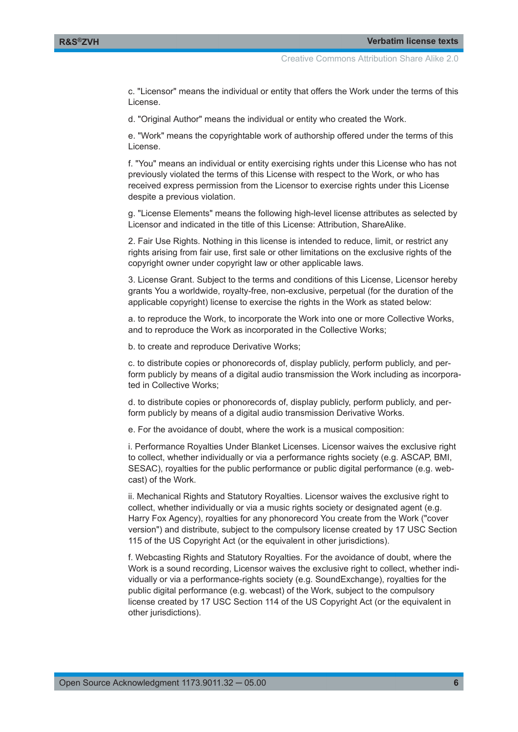c. "Licensor" means the individual or entity that offers the Work under the terms of this License.

d. "Original Author" means the individual or entity who created the Work.

e. "Work" means the copyrightable work of authorship offered under the terms of this License.

f. "You" means an individual or entity exercising rights under this License who has not previously violated the terms of this License with respect to the Work, or who has received express permission from the Licensor to exercise rights under this License despite a previous violation.

g. "License Elements" means the following high-level license attributes as selected by Licensor and indicated in the title of this License: Attribution, ShareAlike.

2. Fair Use Rights. Nothing in this license is intended to reduce, limit, or restrict any rights arising from fair use, first sale or other limitations on the exclusive rights of the copyright owner under copyright law or other applicable laws.

3. License Grant. Subject to the terms and conditions of this License, Licensor hereby grants You a worldwide, royalty-free, non-exclusive, perpetual (for the duration of the applicable copyright) license to exercise the rights in the Work as stated below:

a. to reproduce the Work, to incorporate the Work into one or more Collective Works, and to reproduce the Work as incorporated in the Collective Works;

b. to create and reproduce Derivative Works;

c. to distribute copies or phonorecords of, display publicly, perform publicly, and perform publicly by means of a digital audio transmission the Work including as incorporated in Collective Works;

d. to distribute copies or phonorecords of, display publicly, perform publicly, and perform publicly by means of a digital audio transmission Derivative Works.

e. For the avoidance of doubt, where the work is a musical composition:

i. Performance Royalties Under Blanket Licenses. Licensor waives the exclusive right to collect, whether individually or via a performance rights society (e.g. ASCAP, BMI, SESAC), royalties for the public performance or public digital performance (e.g. webcast) of the Work.

ii. Mechanical Rights and Statutory Royalties. Licensor waives the exclusive right to collect, whether individually or via a music rights society or designated agent (e.g. Harry Fox Agency), royalties for any phonorecord You create from the Work ("cover version") and distribute, subject to the compulsory license created by 17 USC Section 115 of the US Copyright Act (or the equivalent in other jurisdictions).

f. Webcasting Rights and Statutory Royalties. For the avoidance of doubt, where the Work is a sound recording, Licensor waives the exclusive right to collect, whether individually or via a performance-rights society (e.g. SoundExchange), royalties for the public digital performance (e.g. webcast) of the Work, subject to the compulsory license created by 17 USC Section 114 of the US Copyright Act (or the equivalent in other jurisdictions).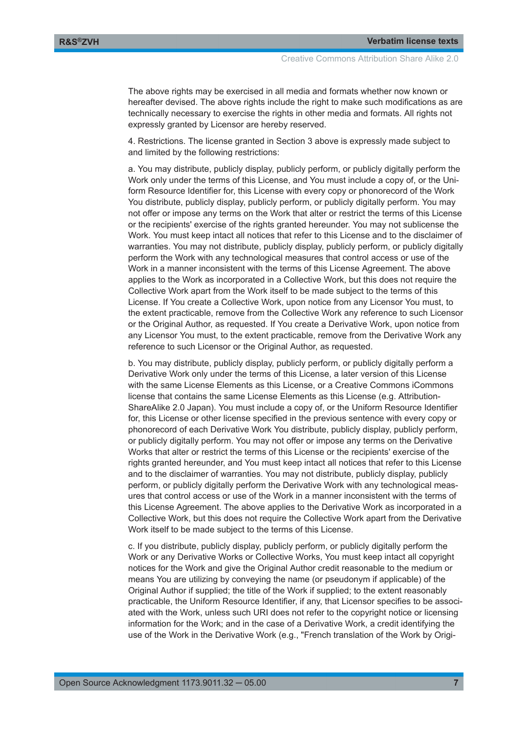The above rights may be exercised in all media and formats whether now known or hereafter devised. The above rights include the right to make such modifications as are technically necessary to exercise the rights in other media and formats. All rights not expressly granted by Licensor are hereby reserved.

4. Restrictions. The license granted in Section 3 above is expressly made subject to and limited by the following restrictions:

a. You may distribute, publicly display, publicly perform, or publicly digitally perform the Work only under the terms of this License, and You must include a copy of, or the Uniform Resource Identifier for, this License with every copy or phonorecord of the Work You distribute, publicly display, publicly perform, or publicly digitally perform. You may not offer or impose any terms on the Work that alter or restrict the terms of this License or the recipients' exercise of the rights granted hereunder. You may not sublicense the Work. You must keep intact all notices that refer to this License and to the disclaimer of warranties. You may not distribute, publicly display, publicly perform, or publicly digitally perform the Work with any technological measures that control access or use of the Work in a manner inconsistent with the terms of this License Agreement. The above applies to the Work as incorporated in a Collective Work, but this does not require the Collective Work apart from the Work itself to be made subject to the terms of this License. If You create a Collective Work, upon notice from any Licensor You must, to the extent practicable, remove from the Collective Work any reference to such Licensor or the Original Author, as requested. If You create a Derivative Work, upon notice from any Licensor You must, to the extent practicable, remove from the Derivative Work any reference to such Licensor or the Original Author, as requested.

b. You may distribute, publicly display, publicly perform, or publicly digitally perform a Derivative Work only under the terms of this License, a later version of this License with the same License Elements as this License, or a Creative Commons iCommons license that contains the same License Elements as this License (e.g. Attribution-ShareAlike 2.0 Japan). You must include a copy of, or the Uniform Resource Identifier for, this License or other license specified in the previous sentence with every copy or phonorecord of each Derivative Work You distribute, publicly display, publicly perform, or publicly digitally perform. You may not offer or impose any terms on the Derivative Works that alter or restrict the terms of this License or the recipients' exercise of the rights granted hereunder, and You must keep intact all notices that refer to this License and to the disclaimer of warranties. You may not distribute, publicly display, publicly perform, or publicly digitally perform the Derivative Work with any technological measures that control access or use of the Work in a manner inconsistent with the terms of this License Agreement. The above applies to the Derivative Work as incorporated in a Collective Work, but this does not require the Collective Work apart from the Derivative Work itself to be made subject to the terms of this License.

c. If you distribute, publicly display, publicly perform, or publicly digitally perform the Work or any Derivative Works or Collective Works, You must keep intact all copyright notices for the Work and give the Original Author credit reasonable to the medium or means You are utilizing by conveying the name (or pseudonym if applicable) of the Original Author if supplied; the title of the Work if supplied; to the extent reasonably practicable, the Uniform Resource Identifier, if any, that Licensor specifies to be associated with the Work, unless such URI does not refer to the copyright notice or licensing information for the Work; and in the case of a Derivative Work, a credit identifying the use of the Work in the Derivative Work (e.g., "French translation of the Work by Origi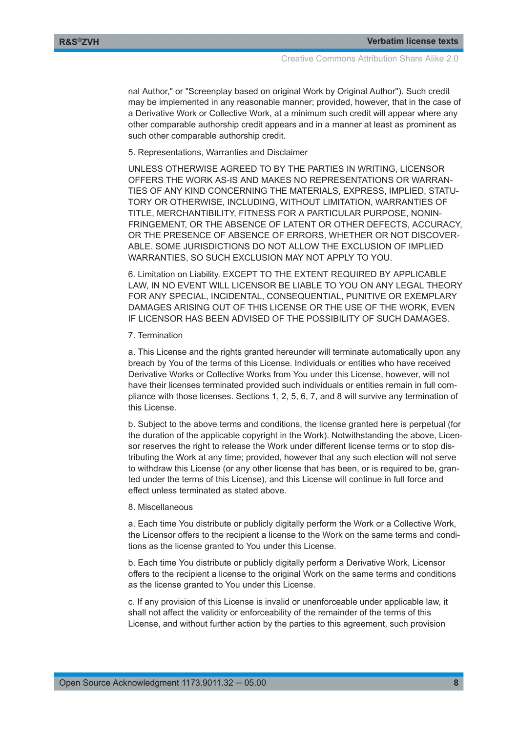nal Author," or "Screenplay based on original Work by Original Author"). Such credit may be implemented in any reasonable manner; provided, however, that in the case of a Derivative Work or Collective Work, at a minimum such credit will appear where any other comparable authorship credit appears and in a manner at least as prominent as such other comparable authorship credit.

5. Representations, Warranties and Disclaimer

UNLESS OTHERWISE AGREED TO BY THE PARTIES IN WRITING, LICENSOR OFFERS THE WORK AS-IS AND MAKES NO REPRESENTATIONS OR WARRAN-TIES OF ANY KIND CONCERNING THE MATERIALS, EXPRESS, IMPLIED, STATU-TORY OR OTHERWISE, INCLUDING, WITHOUT LIMITATION, WARRANTIES OF TITLE, MERCHANTIBILITY, FITNESS FOR A PARTICULAR PURPOSE, NONIN-FRINGEMENT, OR THE ABSENCE OF LATENT OR OTHER DEFECTS, ACCURACY, OR THE PRESENCE OF ABSENCE OF ERRORS, WHETHER OR NOT DISCOVER-ABLE. SOME JURISDICTIONS DO NOT ALLOW THE EXCLUSION OF IMPLIED WARRANTIES, SO SUCH EXCLUSION MAY NOT APPLY TO YOU.

6. Limitation on Liability. EXCEPT TO THE EXTENT REQUIRED BY APPLICABLE LAW, IN NO EVENT WILL LICENSOR BE LIABLE TO YOU ON ANY LEGAL THEORY FOR ANY SPECIAL, INCIDENTAL, CONSEQUENTIAL, PUNITIVE OR EXEMPLARY DAMAGES ARISING OUT OF THIS LICENSE OR THE USE OF THE WORK, EVEN IF LICENSOR HAS BEEN ADVISED OF THE POSSIBILITY OF SUCH DAMAGES.

7. Termination

a. This License and the rights granted hereunder will terminate automatically upon any breach by You of the terms of this License. Individuals or entities who have received Derivative Works or Collective Works from You under this License, however, will not have their licenses terminated provided such individuals or entities remain in full compliance with those licenses. Sections 1, 2, 5, 6, 7, and 8 will survive any termination of this License.

b. Subject to the above terms and conditions, the license granted here is perpetual (for the duration of the applicable copyright in the Work). Notwithstanding the above, Licensor reserves the right to release the Work under different license terms or to stop distributing the Work at any time; provided, however that any such election will not serve to withdraw this License (or any other license that has been, or is required to be, granted under the terms of this License), and this License will continue in full force and effect unless terminated as stated above.

#### 8. Miscellaneous

a. Each time You distribute or publicly digitally perform the Work or a Collective Work, the Licensor offers to the recipient a license to the Work on the same terms and conditions as the license granted to You under this License.

b. Each time You distribute or publicly digitally perform a Derivative Work, Licensor offers to the recipient a license to the original Work on the same terms and conditions as the license granted to You under this License.

c. If any provision of this License is invalid or unenforceable under applicable law, it shall not affect the validity or enforceability of the remainder of the terms of this License, and without further action by the parties to this agreement, such provision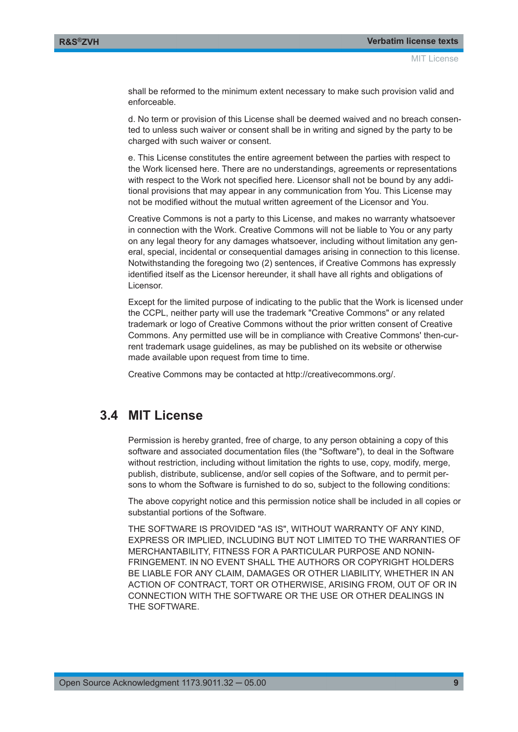<span id="page-8-0"></span>shall be reformed to the minimum extent necessary to make such provision valid and enforceable.

d. No term or provision of this License shall be deemed waived and no breach consented to unless such waiver or consent shall be in writing and signed by the party to be charged with such waiver or consent.

e. This License constitutes the entire agreement between the parties with respect to the Work licensed here. There are no understandings, agreements or representations with respect to the Work not specified here. Licensor shall not be bound by any additional provisions that may appear in any communication from You. This License may not be modified without the mutual written agreement of the Licensor and You.

Creative Commons is not a party to this License, and makes no warranty whatsoever in connection with the Work. Creative Commons will not be liable to You or any party on any legal theory for any damages whatsoever, including without limitation any general, special, incidental or consequential damages arising in connection to this license. Notwithstanding the foregoing two (2) sentences, if Creative Commons has expressly identified itself as the Licensor hereunder, it shall have all rights and obligations of Licensor.

Except for the limited purpose of indicating to the public that the Work is licensed under the CCPL, neither party will use the trademark "Creative Commons" or any related trademark or logo of Creative Commons without the prior written consent of Creative Commons. Any permitted use will be in compliance with Creative Commons' then-current trademark usage guidelines, as may be published on its website or otherwise made available upon request from time to time.

Creative Commons may be contacted at http://creativecommons.org/.

## **3.4 MIT License**

Permission is hereby granted, free of charge, to any person obtaining a copy of this software and associated documentation files (the "Software"), to deal in the Software without restriction, including without limitation the rights to use, copy, modify, merge, publish, distribute, sublicense, and/or sell copies of the Software, and to permit persons to whom the Software is furnished to do so, subject to the following conditions:

The above copyright notice and this permission notice shall be included in all copies or substantial portions of the Software.

THE SOFTWARE IS PROVIDED "AS IS", WITHOUT WARRANTY OF ANY KIND, EXPRESS OR IMPLIED, INCLUDING BUT NOT LIMITED TO THE WARRANTIES OF MERCHANTABILITY, FITNESS FOR A PARTICULAR PURPOSE AND NONIN-FRINGEMENT. IN NO EVENT SHALL THE AUTHORS OR COPYRIGHT HOLDERS BE LIABLE FOR ANY CLAIM, DAMAGES OR OTHER LIABILITY, WHETHER IN AN ACTION OF CONTRACT, TORT OR OTHERWISE, ARISING FROM, OUT OF OR IN CONNECTION WITH THE SOFTWARE OR THE USE OR OTHER DEALINGS IN THE SOFTWARE.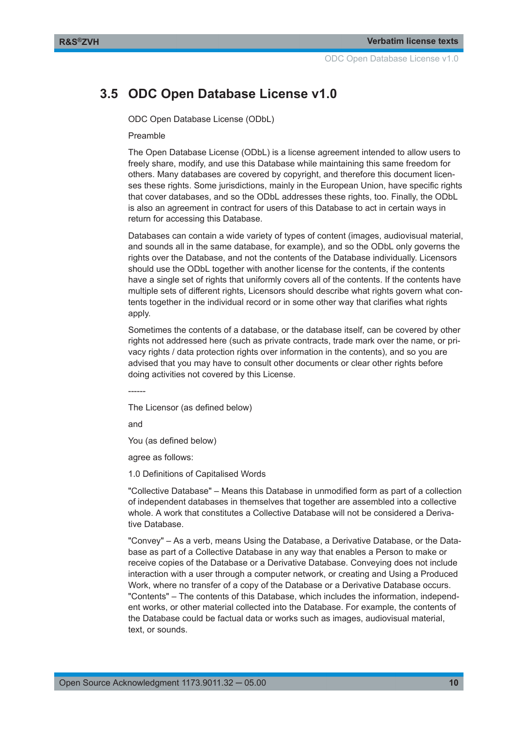## <span id="page-9-0"></span>**3.5 ODC Open Database License v1.0**

ODC Open Database License (ODbL)

Preamble

The Open Database License (ODbL) is a license agreement intended to allow users to freely share, modify, and use this Database while maintaining this same freedom for others. Many databases are covered by copyright, and therefore this document licenses these rights. Some jurisdictions, mainly in the European Union, have specific rights that cover databases, and so the ODbL addresses these rights, too. Finally, the ODbL is also an agreement in contract for users of this Database to act in certain ways in return for accessing this Database.

Databases can contain a wide variety of types of content (images, audiovisual material, and sounds all in the same database, for example), and so the ODbL only governs the rights over the Database, and not the contents of the Database individually. Licensors should use the ODbL together with another license for the contents, if the contents have a single set of rights that uniformly covers all of the contents. If the contents have multiple sets of different rights, Licensors should describe what rights govern what contents together in the individual record or in some other way that clarifies what rights apply.

Sometimes the contents of a database, or the database itself, can be covered by other rights not addressed here (such as private contracts, trade mark over the name, or privacy rights / data protection rights over information in the contents), and so you are advised that you may have to consult other documents or clear other rights before doing activities not covered by this License.

------

The Licensor (as defined below)

and

You (as defined below)

agree as follows:

1.0 Definitions of Capitalised Words

"Collective Database" – Means this Database in unmodified form as part of a collection of independent databases in themselves that together are assembled into a collective whole. A work that constitutes a Collective Database will not be considered a Derivative Database.

"Convey" – As a verb, means Using the Database, a Derivative Database, or the Database as part of a Collective Database in any way that enables a Person to make or receive copies of the Database or a Derivative Database. Conveying does not include interaction with a user through a computer network, or creating and Using a Produced Work, where no transfer of a copy of the Database or a Derivative Database occurs. "Contents" – The contents of this Database, which includes the information, independent works, or other material collected into the Database. For example, the contents of the Database could be factual data or works such as images, audiovisual material, text, or sounds.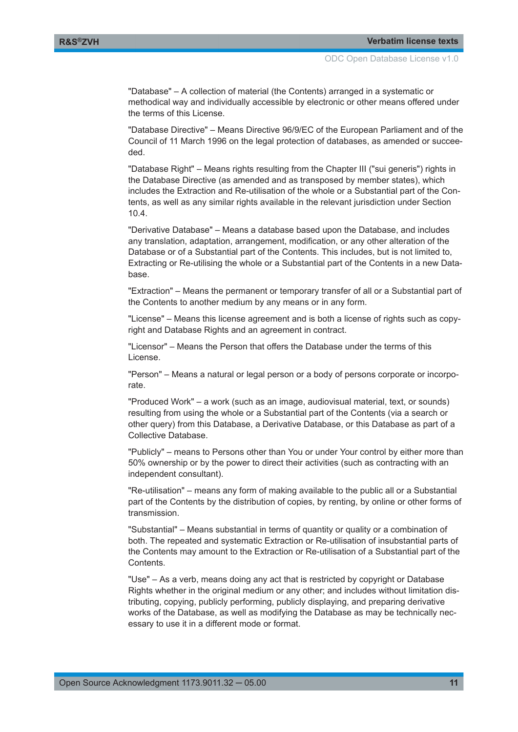"Database" – A collection of material (the Contents) arranged in a systematic or methodical way and individually accessible by electronic or other means offered under the terms of this License.

"Database Directive" – Means Directive 96/9/EC of the European Parliament and of the Council of 11 March 1996 on the legal protection of databases, as amended or succeeded.

"Database Right" – Means rights resulting from the Chapter III ("sui generis") rights in the Database Directive (as amended and as transposed by member states), which includes the Extraction and Re-utilisation of the whole or a Substantial part of the Contents, as well as any similar rights available in the relevant jurisdiction under Section 10.4.

"Derivative Database" – Means a database based upon the Database, and includes any translation, adaptation, arrangement, modification, or any other alteration of the Database or of a Substantial part of the Contents. This includes, but is not limited to, Extracting or Re-utilising the whole or a Substantial part of the Contents in a new Database.

"Extraction" – Means the permanent or temporary transfer of all or a Substantial part of the Contents to another medium by any means or in any form.

"License" – Means this license agreement and is both a license of rights such as copyright and Database Rights and an agreement in contract.

"Licensor" – Means the Person that offers the Database under the terms of this License.

"Person" – Means a natural or legal person or a body of persons corporate or incorporate.

"Produced Work" – a work (such as an image, audiovisual material, text, or sounds) resulting from using the whole or a Substantial part of the Contents (via a search or other query) from this Database, a Derivative Database, or this Database as part of a Collective Database.

"Publicly" – means to Persons other than You or under Your control by either more than 50% ownership or by the power to direct their activities (such as contracting with an independent consultant).

"Re-utilisation" – means any form of making available to the public all or a Substantial part of the Contents by the distribution of copies, by renting, by online or other forms of transmission.

"Substantial" – Means substantial in terms of quantity or quality or a combination of both. The repeated and systematic Extraction or Re-utilisation of insubstantial parts of the Contents may amount to the Extraction or Re-utilisation of a Substantial part of the Contents.

"Use" – As a verb, means doing any act that is restricted by copyright or Database Rights whether in the original medium or any other; and includes without limitation distributing, copying, publicly performing, publicly displaying, and preparing derivative works of the Database, as well as modifying the Database as may be technically necessary to use it in a different mode or format.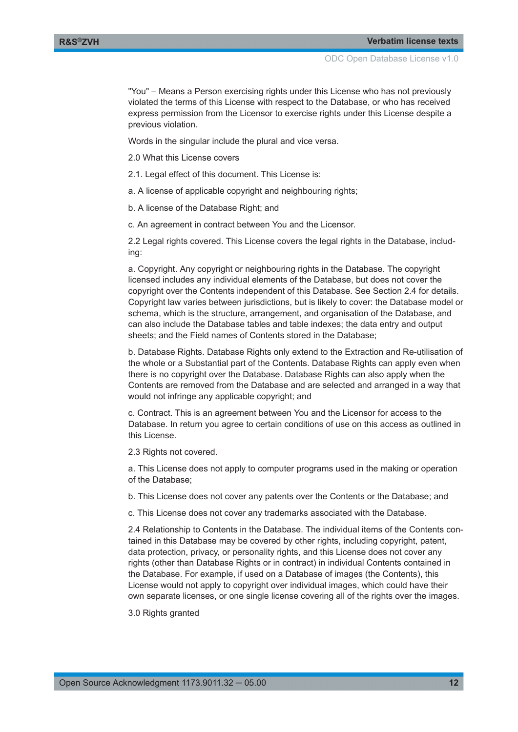"You" – Means a Person exercising rights under this License who has not previously violated the terms of this License with respect to the Database, or who has received express permission from the Licensor to exercise rights under this License despite a previous violation.

Words in the singular include the plural and vice versa.

2.0 What this License covers

2.1. Legal effect of this document. This License is:

a. A license of applicable copyright and neighbouring rights;

b. A license of the Database Right; and

c. An agreement in contract between You and the Licensor.

2.2 Legal rights covered. This License covers the legal rights in the Database, including:

a. Copyright. Any copyright or neighbouring rights in the Database. The copyright licensed includes any individual elements of the Database, but does not cover the copyright over the Contents independent of this Database. See Section 2.4 for details. Copyright law varies between jurisdictions, but is likely to cover: the Database model or schema, which is the structure, arrangement, and organisation of the Database, and can also include the Database tables and table indexes; the data entry and output sheets; and the Field names of Contents stored in the Database;

b. Database Rights. Database Rights only extend to the Extraction and Re-utilisation of the whole or a Substantial part of the Contents. Database Rights can apply even when there is no copyright over the Database. Database Rights can also apply when the Contents are removed from the Database and are selected and arranged in a way that would not infringe any applicable copyright; and

c. Contract. This is an agreement between You and the Licensor for access to the Database. In return you agree to certain conditions of use on this access as outlined in this License.

2.3 Rights not covered.

a. This License does not apply to computer programs used in the making or operation of the Database;

b. This License does not cover any patents over the Contents or the Database; and

c. This License does not cover any trademarks associated with the Database.

2.4 Relationship to Contents in the Database. The individual items of the Contents contained in this Database may be covered by other rights, including copyright, patent, data protection, privacy, or personality rights, and this License does not cover any rights (other than Database Rights or in contract) in individual Contents contained in the Database. For example, if used on a Database of images (the Contents), this License would not apply to copyright over individual images, which could have their own separate licenses, or one single license covering all of the rights over the images.

3.0 Rights granted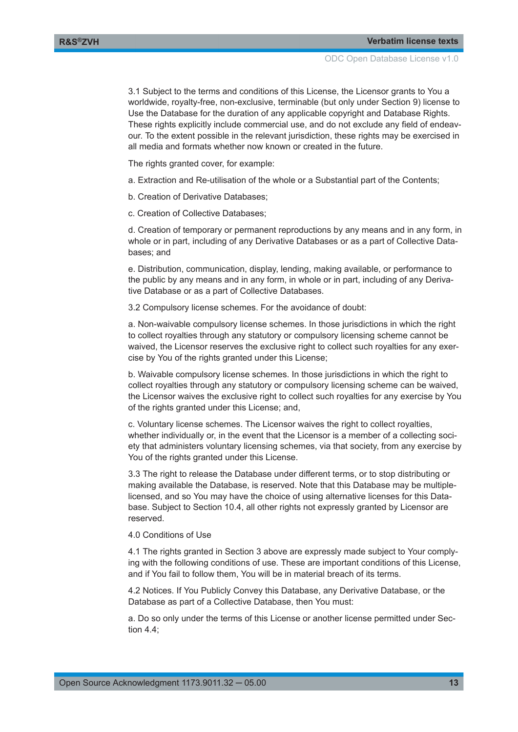3.1 Subject to the terms and conditions of this License, the Licensor grants to You a worldwide, royalty-free, non-exclusive, terminable (but only under Section 9) license to Use the Database for the duration of any applicable copyright and Database Rights. These rights explicitly include commercial use, and do not exclude any field of endeavour. To the extent possible in the relevant jurisdiction, these rights may be exercised in all media and formats whether now known or created in the future.

The rights granted cover, for example:

- a. Extraction and Re-utilisation of the whole or a Substantial part of the Contents;
- b. Creation of Derivative Databases;
- c. Creation of Collective Databases;

d. Creation of temporary or permanent reproductions by any means and in any form, in whole or in part, including of any Derivative Databases or as a part of Collective Databases; and

e. Distribution, communication, display, lending, making available, or performance to the public by any means and in any form, in whole or in part, including of any Derivative Database or as a part of Collective Databases.

3.2 Compulsory license schemes. For the avoidance of doubt:

a. Non-waivable compulsory license schemes. In those jurisdictions in which the right to collect royalties through any statutory or compulsory licensing scheme cannot be waived, the Licensor reserves the exclusive right to collect such royalties for any exercise by You of the rights granted under this License;

b. Waivable compulsory license schemes. In those jurisdictions in which the right to collect royalties through any statutory or compulsory licensing scheme can be waived, the Licensor waives the exclusive right to collect such royalties for any exercise by You of the rights granted under this License; and,

c. Voluntary license schemes. The Licensor waives the right to collect royalties, whether individually or, in the event that the Licensor is a member of a collecting society that administers voluntary licensing schemes, via that society, from any exercise by You of the rights granted under this License.

3.3 The right to release the Database under different terms, or to stop distributing or making available the Database, is reserved. Note that this Database may be multiplelicensed, and so You may have the choice of using alternative licenses for this Database. Subject to Section 10.4, all other rights not expressly granted by Licensor are reserved.

#### 4.0 Conditions of Use

4.1 The rights granted in Section 3 above are expressly made subject to Your complying with the following conditions of use. These are important conditions of this License, and if You fail to follow them, You will be in material breach of its terms.

4.2 Notices. If You Publicly Convey this Database, any Derivative Database, or the Database as part of a Collective Database, then You must:

a. Do so only under the terms of this License or another license permitted under Section 4.4;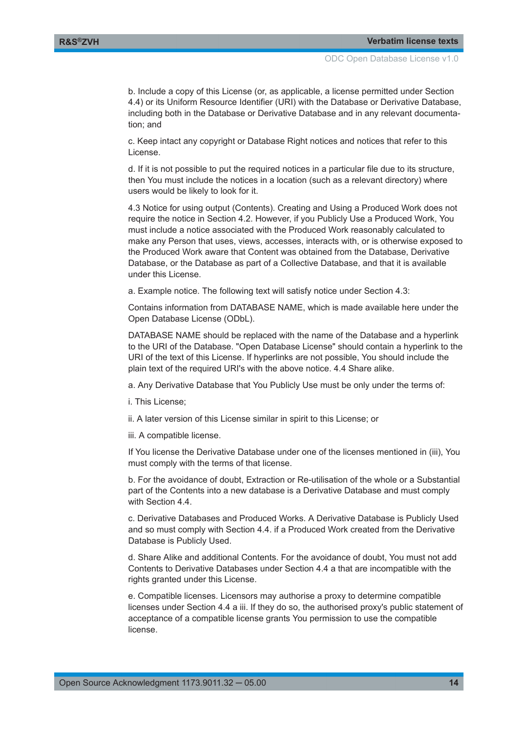b. Include a copy of this License (or, as applicable, a license permitted under Section 4.4) or its Uniform Resource Identifier (URI) with the Database or Derivative Database, including both in the Database or Derivative Database and in any relevant documentation; and

c. Keep intact any copyright or Database Right notices and notices that refer to this License.

d. If it is not possible to put the required notices in a particular file due to its structure, then You must include the notices in a location (such as a relevant directory) where users would be likely to look for it.

4.3 Notice for using output (Contents). Creating and Using a Produced Work does not require the notice in Section 4.2. However, if you Publicly Use a Produced Work, You must include a notice associated with the Produced Work reasonably calculated to make any Person that uses, views, accesses, interacts with, or is otherwise exposed to the Produced Work aware that Content was obtained from the Database, Derivative Database, or the Database as part of a Collective Database, and that it is available under this License.

a. Example notice. The following text will satisfy notice under Section 4.3:

Contains information from DATABASE NAME, which is made available here under the Open Database License (ODbL).

DATABASE NAME should be replaced with the name of the Database and a hyperlink to the URI of the Database. "Open Database License" should contain a hyperlink to the URI of the text of this License. If hyperlinks are not possible, You should include the plain text of the required URI's with the above notice. 4.4 Share alike.

a. Any Derivative Database that You Publicly Use must be only under the terms of:

- i. This License;
- ii. A later version of this License similar in spirit to this License; or
- iii. A compatible license.

If You license the Derivative Database under one of the licenses mentioned in (iii), You must comply with the terms of that license.

b. For the avoidance of doubt, Extraction or Re-utilisation of the whole or a Substantial part of the Contents into a new database is a Derivative Database and must comply with Section 4.4.

c. Derivative Databases and Produced Works. A Derivative Database is Publicly Used and so must comply with Section 4.4. if a Produced Work created from the Derivative Database is Publicly Used.

d. Share Alike and additional Contents. For the avoidance of doubt, You must not add Contents to Derivative Databases under Section 4.4 a that are incompatible with the rights granted under this License.

e. Compatible licenses. Licensors may authorise a proxy to determine compatible licenses under Section 4.4 a iii. If they do so, the authorised proxy's public statement of acceptance of a compatible license grants You permission to use the compatible license.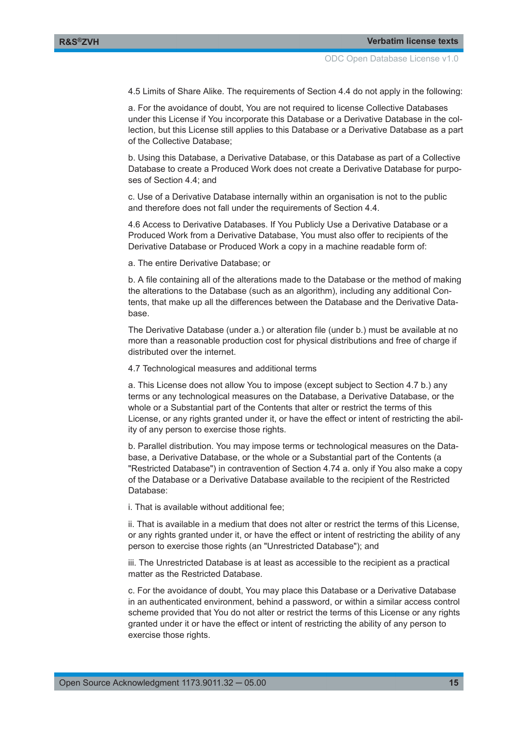4.5 Limits of Share Alike. The requirements of Section 4.4 do not apply in the following:

a. For the avoidance of doubt, You are not required to license Collective Databases under this License if You incorporate this Database or a Derivative Database in the collection, but this License still applies to this Database or a Derivative Database as a part of the Collective Database;

b. Using this Database, a Derivative Database, or this Database as part of a Collective Database to create a Produced Work does not create a Derivative Database for purposes of Section 4.4; and

c. Use of a Derivative Database internally within an organisation is not to the public and therefore does not fall under the requirements of Section 4.4.

4.6 Access to Derivative Databases. If You Publicly Use a Derivative Database or a Produced Work from a Derivative Database, You must also offer to recipients of the Derivative Database or Produced Work a copy in a machine readable form of:

a. The entire Derivative Database; or

b. A file containing all of the alterations made to the Database or the method of making the alterations to the Database (such as an algorithm), including any additional Contents, that make up all the differences between the Database and the Derivative Database.

The Derivative Database (under a.) or alteration file (under b.) must be available at no more than a reasonable production cost for physical distributions and free of charge if distributed over the internet.

4.7 Technological measures and additional terms

a. This License does not allow You to impose (except subject to Section 4.7 b.) any terms or any technological measures on the Database, a Derivative Database, or the whole or a Substantial part of the Contents that alter or restrict the terms of this License, or any rights granted under it, or have the effect or intent of restricting the ability of any person to exercise those rights.

b. Parallel distribution. You may impose terms or technological measures on the Database, a Derivative Database, or the whole or a Substantial part of the Contents (a "Restricted Database") in contravention of Section 4.74 a. only if You also make a copy of the Database or a Derivative Database available to the recipient of the Restricted Database:

i. That is available without additional fee;

ii. That is available in a medium that does not alter or restrict the terms of this License, or any rights granted under it, or have the effect or intent of restricting the ability of any person to exercise those rights (an "Unrestricted Database"); and

iii. The Unrestricted Database is at least as accessible to the recipient as a practical matter as the Restricted Database.

c. For the avoidance of doubt, You may place this Database or a Derivative Database in an authenticated environment, behind a password, or within a similar access control scheme provided that You do not alter or restrict the terms of this License or any rights granted under it or have the effect or intent of restricting the ability of any person to exercise those rights.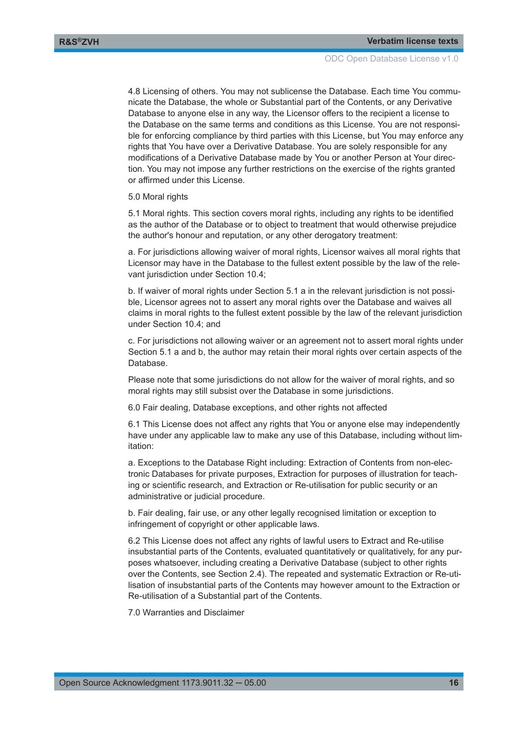4.8 Licensing of others. You may not sublicense the Database. Each time You communicate the Database, the whole or Substantial part of the Contents, or any Derivative Database to anyone else in any way, the Licensor offers to the recipient a license to the Database on the same terms and conditions as this License. You are not responsible for enforcing compliance by third parties with this License, but You may enforce any rights that You have over a Derivative Database. You are solely responsible for any modifications of a Derivative Database made by You or another Person at Your direction. You may not impose any further restrictions on the exercise of the rights granted or affirmed under this License.

5.0 Moral rights

5.1 Moral rights. This section covers moral rights, including any rights to be identified as the author of the Database or to object to treatment that would otherwise prejudice the author's honour and reputation, or any other derogatory treatment:

a. For jurisdictions allowing waiver of moral rights, Licensor waives all moral rights that Licensor may have in the Database to the fullest extent possible by the law of the relevant jurisdiction under Section 10.4;

b. If waiver of moral rights under Section 5.1 a in the relevant jurisdiction is not possible, Licensor agrees not to assert any moral rights over the Database and waives all claims in moral rights to the fullest extent possible by the law of the relevant jurisdiction under Section 10.4; and

c. For jurisdictions not allowing waiver or an agreement not to assert moral rights under Section 5.1 a and b, the author may retain their moral rights over certain aspects of the Database.

Please note that some jurisdictions do not allow for the waiver of moral rights, and so moral rights may still subsist over the Database in some jurisdictions.

6.0 Fair dealing, Database exceptions, and other rights not affected

6.1 This License does not affect any rights that You or anyone else may independently have under any applicable law to make any use of this Database, including without limitation:

a. Exceptions to the Database Right including: Extraction of Contents from non-electronic Databases for private purposes, Extraction for purposes of illustration for teaching or scientific research, and Extraction or Re-utilisation for public security or an administrative or judicial procedure.

b. Fair dealing, fair use, or any other legally recognised limitation or exception to infringement of copyright or other applicable laws.

6.2 This License does not affect any rights of lawful users to Extract and Re-utilise insubstantial parts of the Contents, evaluated quantitatively or qualitatively, for any purposes whatsoever, including creating a Derivative Database (subject to other rights over the Contents, see Section 2.4). The repeated and systematic Extraction or Re-utilisation of insubstantial parts of the Contents may however amount to the Extraction or Re-utilisation of a Substantial part of the Contents.

7.0 Warranties and Disclaimer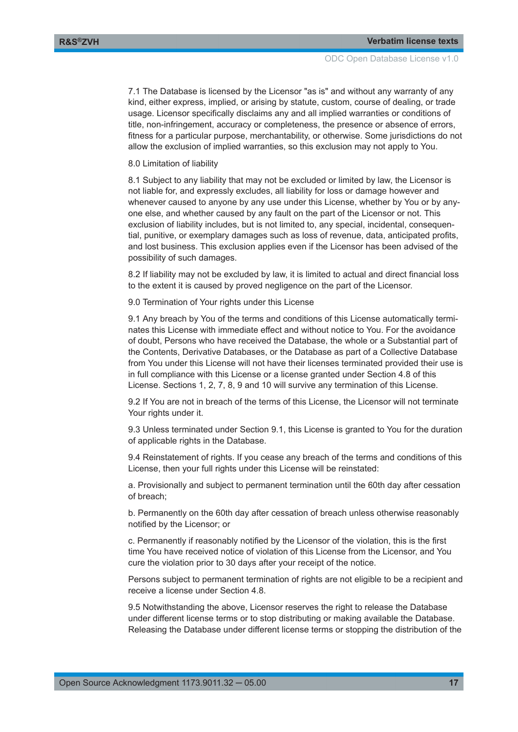7.1 The Database is licensed by the Licensor "as is" and without any warranty of any kind, either express, implied, or arising by statute, custom, course of dealing, or trade usage. Licensor specifically disclaims any and all implied warranties or conditions of title, non-infringement, accuracy or completeness, the presence or absence of errors, fitness for a particular purpose, merchantability, or otherwise. Some jurisdictions do not allow the exclusion of implied warranties, so this exclusion may not apply to You.

8.0 Limitation of liability

8.1 Subject to any liability that may not be excluded or limited by law, the Licensor is not liable for, and expressly excludes, all liability for loss or damage however and whenever caused to anyone by any use under this License, whether by You or by anyone else, and whether caused by any fault on the part of the Licensor or not. This exclusion of liability includes, but is not limited to, any special, incidental, consequential, punitive, or exemplary damages such as loss of revenue, data, anticipated profits, and lost business. This exclusion applies even if the Licensor has been advised of the possibility of such damages.

8.2 If liability may not be excluded by law, it is limited to actual and direct financial loss to the extent it is caused by proved negligence on the part of the Licensor.

9.0 Termination of Your rights under this License

9.1 Any breach by You of the terms and conditions of this License automatically terminates this License with immediate effect and without notice to You. For the avoidance of doubt, Persons who have received the Database, the whole or a Substantial part of the Contents, Derivative Databases, or the Database as part of a Collective Database from You under this License will not have their licenses terminated provided their use is in full compliance with this License or a license granted under Section 4.8 of this License. Sections 1, 2, 7, 8, 9 and 10 will survive any termination of this License.

9.2 If You are not in breach of the terms of this License, the Licensor will not terminate Your rights under it.

9.3 Unless terminated under Section 9.1, this License is granted to You for the duration of applicable rights in the Database.

9.4 Reinstatement of rights. If you cease any breach of the terms and conditions of this License, then your full rights under this License will be reinstated:

a. Provisionally and subject to permanent termination until the 60th day after cessation of breach;

b. Permanently on the 60th day after cessation of breach unless otherwise reasonably notified by the Licensor; or

c. Permanently if reasonably notified by the Licensor of the violation, this is the first time You have received notice of violation of this License from the Licensor, and You cure the violation prior to 30 days after your receipt of the notice.

Persons subject to permanent termination of rights are not eligible to be a recipient and receive a license under Section 4.8.

9.5 Notwithstanding the above, Licensor reserves the right to release the Database under different license terms or to stop distributing or making available the Database. Releasing the Database under different license terms or stopping the distribution of the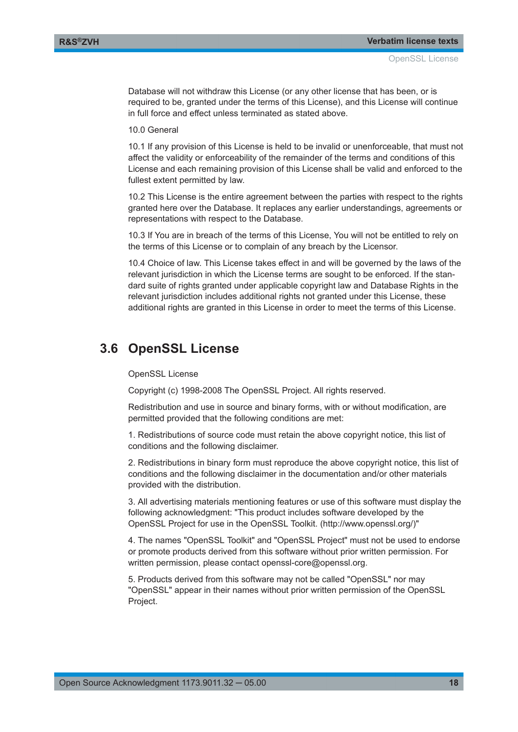<span id="page-17-0"></span>Database will not withdraw this License (or any other license that has been, or is required to be, granted under the terms of this License), and this License will continue in full force and effect unless terminated as stated above.

10.0 General

10.1 If any provision of this License is held to be invalid or unenforceable, that must not affect the validity or enforceability of the remainder of the terms and conditions of this License and each remaining provision of this License shall be valid and enforced to the fullest extent permitted by law.

10.2 This License is the entire agreement between the parties with respect to the rights granted here over the Database. It replaces any earlier understandings, agreements or representations with respect to the Database.

10.3 If You are in breach of the terms of this License, You will not be entitled to rely on the terms of this License or to complain of any breach by the Licensor.

10.4 Choice of law. This License takes effect in and will be governed by the laws of the relevant jurisdiction in which the License terms are sought to be enforced. If the standard suite of rights granted under applicable copyright law and Database Rights in the relevant jurisdiction includes additional rights not granted under this License, these additional rights are granted in this License in order to meet the terms of this License.

### **3.6 OpenSSL License**

#### OpenSSL License

Copyright (c) 1998-2008 The OpenSSL Project. All rights reserved.

Redistribution and use in source and binary forms, with or without modification, are permitted provided that the following conditions are met:

1. Redistributions of source code must retain the above copyright notice, this list of conditions and the following disclaimer.

2. Redistributions in binary form must reproduce the above copyright notice, this list of conditions and the following disclaimer in the documentation and/or other materials provided with the distribution.

3. All advertising materials mentioning features or use of this software must display the following acknowledgment: "This product includes software developed by the OpenSSL Project for use in the OpenSSL Toolkit. (http://www.openssl.org/)"

4. The names "OpenSSL Toolkit" and "OpenSSL Project" must not be used to endorse or promote products derived from this software without prior written permission. For written permission, please contact openssl-core@openssl.org.

5. Products derived from this software may not be called "OpenSSL" nor may "OpenSSL" appear in their names without prior written permission of the OpenSSL Project.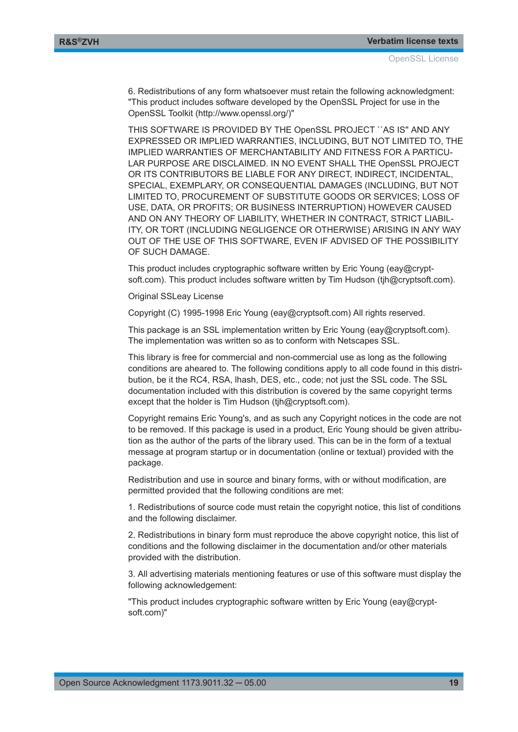6. Redistributions of any form whatsoever must retain the following acknowledgment: "This product includes software developed by the OpenSSL Project for use in the OpenSSL Toolkit (http://www.openssl.org/)"

THIS SOFTWARE IS PROVIDED BY THE OpenSSL PROJECT ``AS IS'' AND ANY EXPRESSED OR IMPLIED WARRANTIES, INCLUDING, BUT NOT LIMITED TO, THE IMPLIED WARRANTIES OF MERCHANTABILITY AND FITNESS FOR A PARTICU-LAR PURPOSE ARE DISCLAIMED. IN NO EVENT SHALL THE OpenSSL PROJECT OR ITS CONTRIBUTORS BE LIABLE FOR ANY DIRECT, INDIRECT, INCIDENTAL, SPECIAL, EXEMPLARY, OR CONSEQUENTIAL DAMAGES (INCLUDING, BUT NOT LIMITED TO, PROCUREMENT OF SUBSTITUTE GOODS OR SERVICES; LOSS OF USE, DATA, OR PROFITS; OR BUSINESS INTERRUPTION) HOWEVER CAUSED AND ON ANY THEORY OF LIABILITY, WHETHER IN CONTRACT, STRICT LIABIL-ITY, OR TORT (INCLUDING NEGLIGENCE OR OTHERWISE) ARISING IN ANY WAY OUT OF THE USE OF THIS SOFTWARE, EVEN IF ADVISED OF THE POSSIBILITY OF SUCH DAMAGE.

This product includes cryptographic software written by Eric Young (eay@cryptsoft.com). This product includes software written by Tim Hudson (tjh@cryptsoft.com).

Original SSLeay License

Copyright (C) 1995-1998 Eric Young (eay@cryptsoft.com) All rights reserved.

This package is an SSL implementation written by Eric Young (eay@cryptsoft.com). The implementation was written so as to conform with Netscapes SSL.

This library is free for commercial and non-commercial use as long as the following conditions are aheared to. The following conditions apply to all code found in this distribution, be it the RC4, RSA, lhash, DES, etc., code; not just the SSL code. The SSL documentation included with this distribution is covered by the same copyright terms except that the holder is Tim Hudson (tjh@cryptsoft.com).

Copyright remains Eric Young's, and as such any Copyright notices in the code are not to be removed. If this package is used in a product, Eric Young should be given attribution as the author of the parts of the library used. This can be in the form of a textual message at program startup or in documentation (online or textual) provided with the package.

Redistribution and use in source and binary forms, with or without modification, are permitted provided that the following conditions are met:

1. Redistributions of source code must retain the copyright notice, this list of conditions and the following disclaimer.

2. Redistributions in binary form must reproduce the above copyright notice, this list of conditions and the following disclaimer in the documentation and/or other materials provided with the distribution.

3. All advertising materials mentioning features or use of this software must display the following acknowledgement:

"This product includes cryptographic software written by Eric Young (eay@cryptsoft.com)"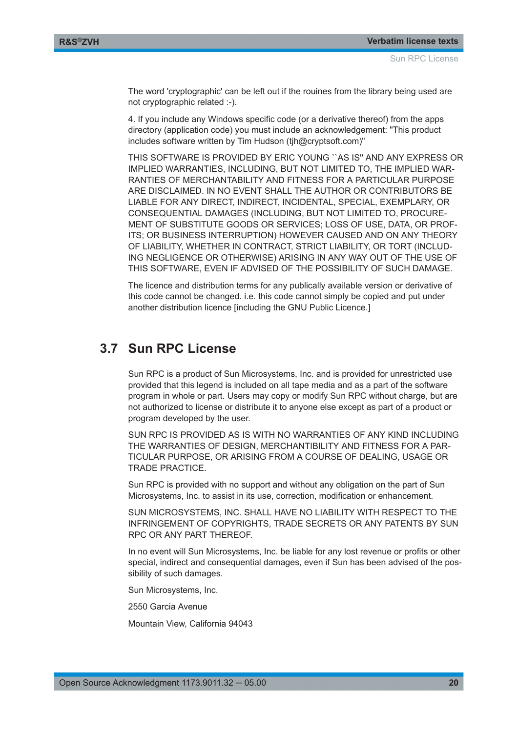<span id="page-19-0"></span>The word 'cryptographic' can be left out if the rouines from the library being used are not cryptographic related :-).

4. If you include any Windows specific code (or a derivative thereof) from the apps directory (application code) you must include an acknowledgement: "This product includes software written by Tim Hudson (tih@cryptsoft.com)"

THIS SOFTWARE IS PROVIDED BY ERIC YOUNG ``AS IS'' AND ANY EXPRESS OR IMPLIED WARRANTIES, INCLUDING, BUT NOT LIMITED TO, THE IMPLIED WAR-RANTIES OF MERCHANTABILITY AND FITNESS FOR A PARTICULAR PURPOSE ARE DISCLAIMED. IN NO EVENT SHALL THE AUTHOR OR CONTRIBUTORS BE LIABLE FOR ANY DIRECT, INDIRECT, INCIDENTAL, SPECIAL, EXEMPLARY, OR CONSEQUENTIAL DAMAGES (INCLUDING, BUT NOT LIMITED TO, PROCURE-MENT OF SUBSTITUTE GOODS OR SERVICES; LOSS OF USE, DATA, OR PROF-ITS; OR BUSINESS INTERRUPTION) HOWEVER CAUSED AND ON ANY THEORY OF LIABILITY, WHETHER IN CONTRACT, STRICT LIABILITY, OR TORT (INCLUD-ING NEGLIGENCE OR OTHERWISE) ARISING IN ANY WAY OUT OF THE USE OF THIS SOFTWARE, EVEN IF ADVISED OF THE POSSIBILITY OF SUCH DAMAGE.

The licence and distribution terms for any publically available version or derivative of this code cannot be changed. i.e. this code cannot simply be copied and put under another distribution licence [including the GNU Public Licence.]

## **3.7 Sun RPC License**

Sun RPC is a product of Sun Microsystems, Inc. and is provided for unrestricted use provided that this legend is included on all tape media and as a part of the software program in whole or part. Users may copy or modify Sun RPC without charge, but are not authorized to license or distribute it to anyone else except as part of a product or program developed by the user.

SUN RPC IS PROVIDED AS IS WITH NO WARRANTIES OF ANY KIND INCLUDING THE WARRANTIES OF DESIGN, MERCHANTIBILITY AND FITNESS FOR A PAR-TICULAR PURPOSE, OR ARISING FROM A COURSE OF DEALING, USAGE OR TRADE PRACTICE.

Sun RPC is provided with no support and without any obligation on the part of Sun Microsystems, Inc. to assist in its use, correction, modification or enhancement.

SUN MICROSYSTEMS, INC. SHALL HAVE NO LIABILITY WITH RESPECT TO THE INFRINGEMENT OF COPYRIGHTS, TRADE SECRETS OR ANY PATENTS BY SUN RPC OR ANY PART THEREOF.

In no event will Sun Microsystems, Inc. be liable for any lost revenue or profits or other special, indirect and consequential damages, even if Sun has been advised of the possibility of such damages.

Sun Microsystems, Inc.

2550 Garcia Avenue

Mountain View, California 94043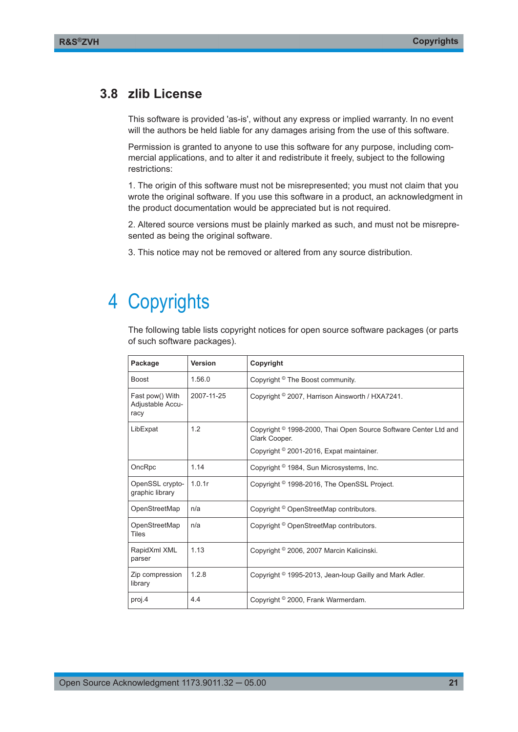### <span id="page-20-0"></span>**3.8 zlib License**

This software is provided 'as-is', without any express or implied warranty. In no event will the authors be held liable for any damages arising from the use of this software.

Permission is granted to anyone to use this software for any purpose, including commercial applications, and to alter it and redistribute it freely, subject to the following restrictions:

1. The origin of this software must not be misrepresented; you must not claim that you wrote the original software. If you use this software in a product, an acknowledgment in the product documentation would be appreciated but is not required.

2. Altered source versions must be plainly marked as such, and must not be misrepresented as being the original software.

3. This notice may not be removed or altered from any source distribution.

## 4 Copyrights

The following table lists copyright notices for open source software packages (or parts of such software packages).

| Package                                     | <b>Version</b> | Copyright                                                                                                                                          |
|---------------------------------------------|----------------|----------------------------------------------------------------------------------------------------------------------------------------------------|
| <b>Boost</b>                                | 1.56.0         | Copyright <sup>©</sup> The Boost community.                                                                                                        |
| Fast pow() With<br>Adjustable Accu-<br>racy | 2007-11-25     | Copyright © 2007, Harrison Ainsworth / HXA7241.                                                                                                    |
| LibExpat                                    | 12             | Copyright <sup>©</sup> 1998-2000, Thai Open Source Software Center Ltd and<br>Clark Cooper.<br>Copyright <sup>©</sup> 2001-2016, Expat maintainer. |
| OncRpc                                      | 1.14           | Copyright <sup>©</sup> 1984, Sun Microsystems, Inc.                                                                                                |
| OpenSSL crypto-<br>graphic library          | 1.0.1r         | Copyright <sup>©</sup> 1998-2016, The OpenSSL Project.                                                                                             |
| OpenStreetMap                               | n/a            | Copyright © OpenStreetMap contributors.                                                                                                            |
| OpenStreetMap<br><b>Tiles</b>               | n/a            | Copyright © OpenStreetMap contributors.                                                                                                            |
| RapidXml XML<br>parser                      | 1.13           | Copyright <sup>©</sup> 2006, 2007 Marcin Kalicinski.                                                                                               |
| Zip compression<br>library                  | 1.2.8          | Copyright <sup>©</sup> 1995-2013, Jean-loup Gailly and Mark Adler.                                                                                 |
| proj.4                                      | 4.4            | Copyright <sup>©</sup> 2000, Frank Warmerdam.                                                                                                      |